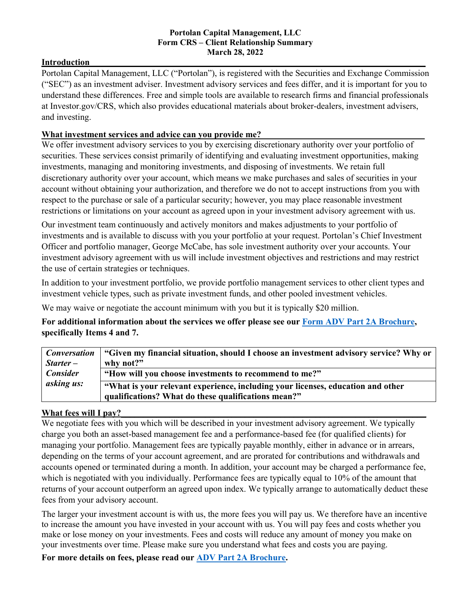#### **Portolan Capital Management, LLC Form CRS – Client Relationship Summary March 28, 2022**

#### **Introduction**

Portolan Capital Management, LLC ("Portolan"), is registered with the Securities and Exchange Commission ("SEC") as an investment adviser. Investment advisory services and fees differ, and it is important for you to understand these differences. Free and simple tools are available to research firms and financial professionals at Investor.gov/CRS, which also provides educational materials about broker-dealers, investment advisers, and investing.

## What investment services and advice can you provide me?

We offer investment advisory services to you by exercising discretionary authority over your portfolio of securities. These services consist primarily of identifying and evaluating investment opportunities, making investments, managing and monitoring investments, and disposing of investments. We retain full discretionary authority over your account, which means we make purchases and sales of securities in your account without obtaining your authorization, and therefore we do not to accept instructions from you with respect to the purchase or sale of a particular security; however, you may place reasonable investment restrictions or limitations on your account as agreed upon in your investment advisory agreement with us.

Our investment team continuously and actively monitors and makes adjustments to your portfolio of investments and is available to discuss with you your portfolio at your request. Portolan's Chief Investment Officer and portfolio manager, George McCabe, has sole investment authority over your accounts. Your investment advisory agreement with us will include investment objectives and restrictions and may restrict the use of certain strategies or techniques.

In addition to your investment portfolio, we provide portfolio management services to other client types and investment vehicle types, such as private investment funds, and other pooled investment vehicles.

We may waive or negotiate the account minimum with you but it is typically \$20 million.

**For additional information about the services we offer please see our [Form ADV Part 2A Brochure,](https://adviserinfo.sec.gov/firm/summary/157542) specifically Items 4 and 7.**

|                                      | <i>Conversation</i>   "Given my financial situation, should I choose an investment advisory service? Why or |
|--------------------------------------|-------------------------------------------------------------------------------------------------------------|
| $Starter -$                          | why not?"                                                                                                   |
| <b>Consider</b><br><i>asking us:</i> | "How will you choose investments to recommend to me?"                                                       |
|                                      | "What is your relevant experience, including your licenses, education and other                             |
|                                      | qualifications? What do these qualifications mean?"                                                         |

#### What fees will I pay?

We negotiate fees with you which will be described in your investment advisory agreement. We typically charge you both an asset-based management fee and a performance-based fee (for qualified clients) for managing your portfolio. Management fees are typically payable monthly, either in advance or in arrears, depending on the terms of your account agreement, and are prorated for contributions and withdrawals and accounts opened or terminated during a month. In addition, your account may be charged a performance fee, which is negotiated with you individually. Performance fees are typically equal to 10% of the amount that returns of your account outperform an agreed upon index. We typically arrange to automatically deduct these fees from your advisory account.

The larger your investment account is with us, the more fees you will pay us. We therefore have an incentive to increase the amount you have invested in your account with us. You will pay fees and costs whether you make or lose money on your investments. Fees and costs will reduce any amount of money you make on your investments over time. Please make sure you understand what fees and costs you are paying.

**For more details on fees, please read our [ADV Part 2A Brochure.](https://adviserinfo.sec.gov/firm/summary/157542)**